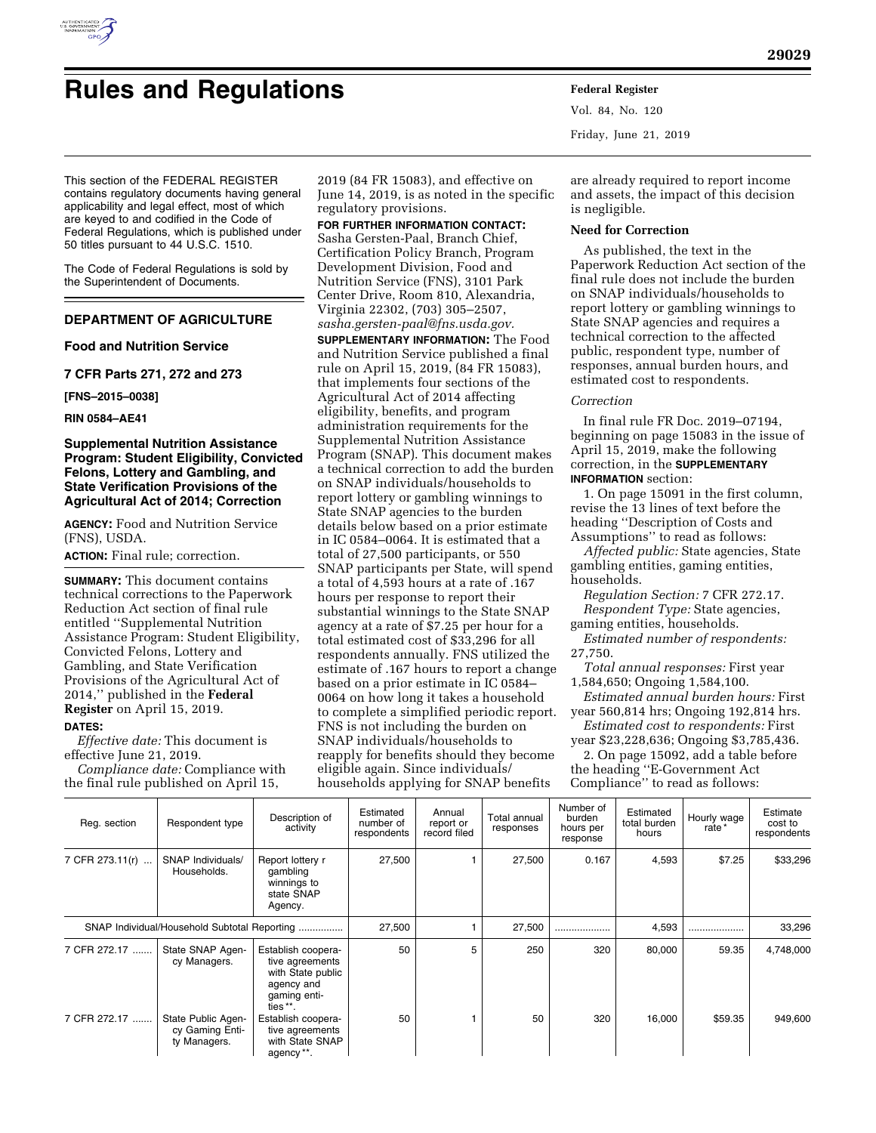

# **Rules and Regulations Federal Register**

Vol. 84, No. 120 Friday, June 21, 2019

This section of the FEDERAL REGISTER contains regulatory documents having general applicability and legal effect, most of which are keyed to and codified in the Code of Federal Regulations, which is published under 50 titles pursuant to 44 U.S.C. 1510.

The Code of Federal Regulations is sold by the Superintendent of Documents.

# **DEPARTMENT OF AGRICULTURE**

**Food and Nutrition Service** 

**7 CFR Parts 271, 272 and 273** 

**[FNS–2015–0038]** 

**RIN 0584–AE41** 

### **Supplemental Nutrition Assistance Program: Student Eligibility, Convicted Felons, Lottery and Gambling, and State Verification Provisions of the Agricultural Act of 2014; Correction**

**AGENCY:** Food and Nutrition Service (FNS), USDA.

**ACTION:** Final rule; correction.

**SUMMARY:** This document contains technical corrections to the Paperwork Reduction Act section of final rule entitled ''Supplemental Nutrition Assistance Program: Student Eligibility, Convicted Felons, Lottery and Gambling, and State Verification Provisions of the Agricultural Act of 2014,'' published in the **Federal Register** on April 15, 2019. **DATES:**

*Effective date:* This document is effective June 21, 2019.

*Compliance date:* Compliance with the final rule published on April 15,

2019 (84 FR 15083), and effective on June 14, 2019, is as noted in the specific regulatory provisions.

**FOR FURTHER INFORMATION CONTACT:**  Sasha Gersten-Paal, Branch Chief, Certification Policy Branch, Program Development Division, Food and Nutrition Service (FNS), 3101 Park Center Drive, Room 810, Alexandria, Virginia 22302, (703) 305–2507, *[sasha.gersten-paal@fns.usda.gov.](mailto:sasha.gersten-paal@fns.usda.gov)*  **SUPPLEMENTARY INFORMATION:** The Food and Nutrition Service published a final rule on April 15, 2019, (84 FR 15083), that implements four sections of the Agricultural Act of 2014 affecting eligibility, benefits, and program administration requirements for the Supplemental Nutrition Assistance Program (SNAP). This document makes a technical correction to add the burden on SNAP individuals/households to report lottery or gambling winnings to State SNAP agencies to the burden details below based on a prior estimate in IC 0584–0064. It is estimated that a total of 27,500 participants, or 550 SNAP participants per State, will spend a total of 4,593 hours at a rate of .167 hours per response to report their substantial winnings to the State SNAP agency at a rate of \$7.25 per hour for a total estimated cost of \$33,296 for all respondents annually. FNS utilized the estimate of .167 hours to report a change based on a prior estimate in IC 0584– 0064 on how long it takes a household to complete a simplified periodic report. FNS is not including the burden on SNAP individuals/households to reapply for benefits should they become eligible again. Since individuals/ households applying for SNAP benefits

are already required to report income and assets, the impact of this decision is negligible.

#### **Need for Correction**

As published, the text in the Paperwork Reduction Act section of the final rule does not include the burden on SNAP individuals/households to report lottery or gambling winnings to State SNAP agencies and requires a technical correction to the affected public, respondent type, number of responses, annual burden hours, and estimated cost to respondents.

#### *Correction*

In final rule FR Doc. 2019–07194, beginning on page 15083 in the issue of April 15, 2019, make the following correction, in the **SUPPLEMENTARY INFORMATION** section:

1. On page 15091 in the first column, revise the 13 lines of text before the heading ''Description of Costs and Assumptions'' to read as follows:

*Affected public:* State agencies, State gambling entities, gaming entities, households.

*Regulation Section:* 7 CFR 272.17. *Respondent Type:* State agencies, gaming entities, households.

*Estimated number of respondents:*  27,750.

*Total annual responses:* First year 1,584,650; Ongoing 1,584,100.

*Estimated annual burden hours:* First year 560,814 hrs; Ongoing 192,814 hrs.

*Estimated cost to respondents:* First year \$23,228,636; Ongoing \$3,785,436.

2. On page 15092, add a table before the heading ''E-Government Act Compliance'' to read as follows:

| Reg. section                                 | Respondent type                                       | Description of<br>activity                                                                           | Estimated<br>number of<br>respondents | Annual<br>report or<br>record filed | Total annual<br>responses | Number of<br>burden<br>hours per<br>response | Estimated<br>total burden<br>hours | Hourly wage<br>rate * | Estimate<br>cost to<br>respondents |
|----------------------------------------------|-------------------------------------------------------|------------------------------------------------------------------------------------------------------|---------------------------------------|-------------------------------------|---------------------------|----------------------------------------------|------------------------------------|-----------------------|------------------------------------|
| 7 CFR 273.11(r)                              | SNAP Individuals/<br>Households.                      | Report lottery r<br>gambling<br>winnings to<br>state SNAP<br>Agency.                                 | 27,500                                |                                     | 27,500                    | 0.167                                        | 4,593                              | \$7.25                | \$33,296                           |
| SNAP Individual/Household Subtotal Reporting |                                                       |                                                                                                      | 27,500                                |                                     | 27,500                    |                                              | 4,593                              | .                     | 33,296                             |
| 7 CFR 272.17                                 | State SNAP Agen-<br>cy Managers.                      | Establish coopera-<br>tive agreements<br>with State public<br>agency and<br>qaming enti-<br>ties **. | 50                                    | 5                                   | 250                       | 320                                          | 80,000                             | 59.35                 | 4,748,000                          |
| 7 CFR 272.17                                 | State Public Agen-<br>cy Gaming Enti-<br>ty Managers. | Establish coopera-<br>tive agreements<br>with State SNAP<br>agency **.                               | 50                                    |                                     | 50                        | 320                                          | 16,000                             | \$59.35               | 949,600                            |